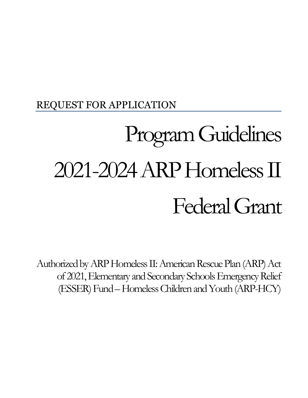## REQUEST FOR APPLICATION

# Program Guidelines 2021-2024ARP Homeless II Federal Grant

Authorized by ARP Homeless II: American Rescue Plan (ARP) Act of 2021, Elementary and Secondary Schools Emergency Relief (ESSER) Fund –Homeless Children and Youth (ARP-HCY)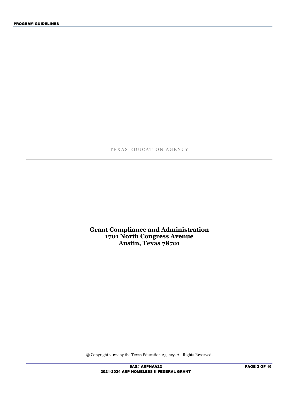TEXAS EDUCATION AGENCY

**Grant Compliance and Administration 1701 North Congress Avenue Austin, Texas 78701**

© Copyright 2022 by the Texas Education Agency. All Rights Reserved.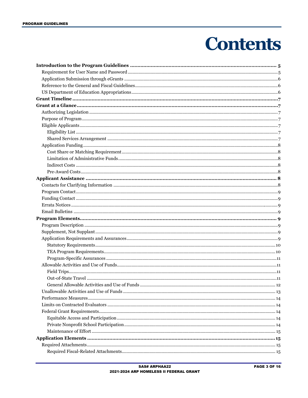## **Contents**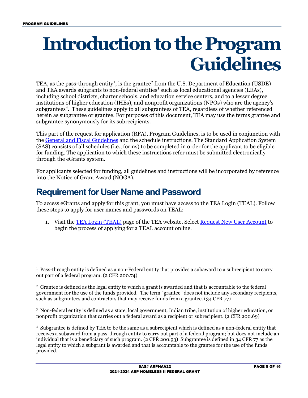## <span id="page-4-0"></span>**Introduction to the Program Guidelines**

TEA, as the pass-through entity<sup>[1](#page-4-2)</sup>, is the grantee<sup>[2](#page-4-3)</sup> from the U.S. Department of Education (USDE) and TEA awards subgrants to non-federal entities<sup>[3](#page-4-4)</sup> such as local educational agencies (LEAs), including school districts, charter schools, and education service centers, and to a lesser degree institutions of higher education (IHEs), and nonprofit organizations (NPOs) who are the agency's subgrantees<sup>[4](#page-4-5)</sup>. These guidelines apply to all subgrantees of TEA, regardless of whether referenced herein as subgrantee or grantee. For purposes of this document, TEA may use the terms grantee and subgrantee synonymously for its subrecipients.

This part of the request for application (RFA), Program Guidelines, is to be used in conjunction with the [General and Fiscal Guidelines](http://tea.texas.gov/WorkArea/linkit.aspx?LinkIdentifier=id&ItemID=25769819073) and the schedule instructions. The Standard Application System (SAS) consists of all schedules (i.e., forms) to be completed in order for the applicant to be eligible for funding. The application to which these instructions refer must be submitted electronically through the eGrants system.

For applicants selected for funding, all guidelines and instructions will be incorporated by reference into the Notice of Grant Award (NOGA).

## <span id="page-4-1"></span>**Requirement for User Name and Password**

To access eGrants and apply for this grant, you must have access to the TEA Login (TEAL). Follow these steps to apply for user names and passwords on TEAL:

1. Visit the [TEA Login \(TEAL\)](https://pryor.tea.state.tx.us/) page of the TEA website. Select [Request New User Account](https://pryor.tea.state.tx.us/TSP/TEASecurePortal/jsp/manage_profile.jsp) to begin the process of applying for a TEAL account online.

<span id="page-4-4"></span> $3$  Non-federal entity is defined as a state, local government, Indian tribe, institution of higher education, or nonprofit organization that carries out a federal award as a recipient or subrecipient. (2 CFR 200.69)

<span id="page-4-2"></span><sup>&</sup>lt;sup>1</sup> Pass-through entity is defined as a non-Federal entity that provides a subaward to a subrecipient to carry out part of a federal program. (2 CFR 200.74)

<span id="page-4-3"></span> $2$  Grantee is defined as the legal entity to which a grant is awarded and that is accountable to the federal government for the use of the funds provided. The term "grantee" does not include any secondary recipients, such as subgrantees and contractors that may receive funds from a grantee. (34 CFR 77)

<span id="page-4-5"></span><sup>4</sup> Subgrantee is defined by TEA to be the same as a subrecipient which is defined as a non-federal entity that receives a subaward from a pass-through entity to carry out part of a federal program; but does not include an individual that is a beneficiary of such program. (2 CFR 200.93) Subgrantee is defined in 34 CFR 77 as the legal entity to which a subgrant is awarded and that is accountable to the grantee for the use of the funds provided.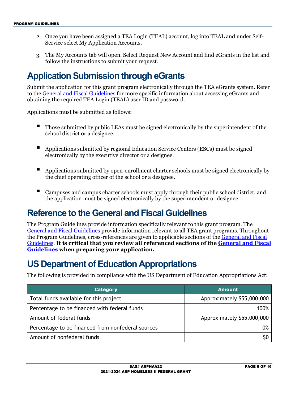- 2. Once you have been assigned a TEA Login (TEAL) account, log into TEAL and under Self-Service select My Application Accounts.
- 3. The My Accounts tab will open. Select Request New Account and find eGrants in the list and follow the instructions to submit your request.

## <span id="page-5-0"></span>**Application Submission through eGrants**

Submit the application for this grant program electronically through the TEA eGrants system. Refer to the [General and Fiscal Guidelines](http://tea.texas.gov/WorkArea/linkit.aspx?LinkIdentifier=id&ItemID=25769819073) for more specific information about accessing eGrants and obtaining the required TEA Login (TEAL) user ID and password.

Applications must be submitted as follows:

- Those submitted by public LEAs must be signed electronically by the superintendent of the school district or a designee.
- Applications submitted by regional Education Service Centers (ESCs) must be signed electronically by the executive director or a designee.
- Applications submitted by open-enrollment charter schools must be signed electronically by the chief operating officer of the school or a designee.
- Campuses and campus charter schools must apply through their public school district, and the application must be signed electronically by the superintendent or designee.

## <span id="page-5-1"></span>**Reference to the General and Fiscal Guidelines**

The Program Guidelines provide information specifically relevant to this grant program. The [General and Fiscal Guidelines](http://tea.texas.gov/WorkArea/linkit.aspx?LinkIdentifier=id&ItemID=25769819073) provide information relevant to all TEA grant programs. Throughout the Program Guidelines, cross-references are given to applicable sections of the [General and Fiscal](http://tea.texas.gov/WorkArea/linkit.aspx?LinkIdentifier=id&ItemID=25769819073)  [Guidelines.](http://tea.texas.gov/WorkArea/linkit.aspx?LinkIdentifier=id&ItemID=25769819073) **It is critical that you review all referenced sections of the [General and Fiscal](http://tea.texas.gov/WorkArea/linkit.aspx?LinkIdentifier=id&ItemID=25769819073)  [Guidelines](http://tea.texas.gov/WorkArea/linkit.aspx?LinkIdentifier=id&ItemID=25769819073) when preparing your application.**

## <span id="page-5-2"></span>**US Department of Education Appropriations**

The following is provided in compliance with the US Department of Education Appropriations Act:

| <b>Category</b>                                   | <b>Amount</b>              |
|---------------------------------------------------|----------------------------|
| Total funds available for this project            | Approximately \$55,000,000 |
| Percentage to be financed with federal funds      | 100%                       |
| Amount of federal funds                           | Approximately \$55,000,000 |
| Percentage to be financed from nonfederal sources | 0%                         |
| Amount of nonfederal funds                        |                            |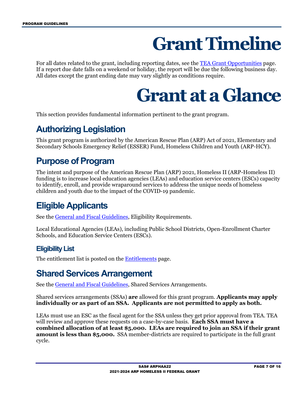## **Grant Timeline**

<span id="page-6-1"></span><span id="page-6-0"></span>For all dates related to the grant, including reporting dates, see the [TEA Grant Opportunities](https://tea4avoswald.tea.state.tx.us/GrantOpportunities/forms/GrantProgramSearch.aspx) page. If a report due date falls on a weekend or holiday, the report will be due the following business day. All dates except the grant ending date may vary slightly as conditions require.

## **Grant at a Glance**

This section provides fundamental information pertinent to the grant program.

## <span id="page-6-2"></span>**Authorizing Legislation**

This grant program is authorized by the American Rescue Plan (ARP) Act of 2021, Elementary and Secondary Schools Emergency Relief (ESSER) Fund, Homeless Children and Youth (ARP-HCY).

### <span id="page-6-3"></span>**Purpose of Program**

The intent and purpose of the American Rescue Plan (ARP) 2021, Homeless II (ARP-Homeless II) funding is to increase local education agencies (LEAs) and education service centers (ESCs) capacity to identify, enroll, and provide wraparound services to address the unique needs of homeless children and youth due to the impact of the COVID-19 pandemic.

## <span id="page-6-4"></span>**Eligible Applicants**

See the [General and Fiscal Guidelines,](http://tea.texas.gov/WorkArea/linkit.aspx?LinkIdentifier=id&ItemID=25769819073) Eligibility Requirements.

Local Educational Agencies (LEAs), including Public School Districts, Open-Enrollment Charter Schools, and Education Service Centers (ESCs).

#### <span id="page-6-5"></span>**Eligibility List**

The entitlement list is posted on the **Entitlements** page.

## <span id="page-6-6"></span>**Shared Services Arrangement**

See the [General and Fiscal Guidelines,](http://tea.texas.gov/WorkArea/linkit.aspx?LinkIdentifier=id&ItemID=25769819073) Shared Services Arrangements.

Shared services arrangements (SSAs) **are** allowed for this grant program. **Applicants may apply individually or as part of an SSA. Applicants are not permitted to apply as both.**

LEAs must use an ESC as the fiscal agent for the SSA unless they get prior approval from TEA. TEA will review and approve these requests on a case-by-case basis. **Each SSA must have a combined allocation of at least \$5,000. LEAs are required to join an SSA if their grant amount is less than \$5,000.** SSA member-districts are required to participate in the full grant cycle.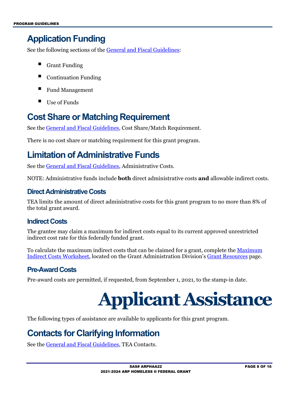## <span id="page-7-0"></span>**Application Funding**

See the following sections of the [General and Fiscal Guidelines:](http://tea.texas.gov/WorkArea/linkit.aspx?LinkIdentifier=id&ItemID=25769819073)

- Grant Funding
- Continuation Funding
- Fund Management
- $\blacksquare$  Use of Funds

## <span id="page-7-1"></span>**Cost Share or Matching Requirement**

See the [General and Fiscal Guidelines,](http://tea.texas.gov/WorkArea/linkit.aspx?LinkIdentifier=id&ItemID=25769819073) Cost Share/Match Requirement.

There is no cost share or matching requirement for this grant program.

## <span id="page-7-2"></span>**Limitation of Administrative Funds**

See the [General and Fiscal Guidelines,](http://tea.texas.gov/WorkArea/linkit.aspx?LinkIdentifier=id&ItemID=25769819073) Administrative Costs.

NOTE: Administrative funds include **both** direct administrative costs **and** allowable indirect costs.

#### **Direct Administrative Costs**

TEA limits the amount of direct administrative costs for this grant program to no more than 8% of the total grant award.

#### <span id="page-7-3"></span>**Indirect Costs**

The grantee may claim a maximum for indirect costs equal to its current approved unrestricted indirect cost rate for this federally funded grant.

To calculate the maximum indirect costs that can be claimed for a grant, complete the [Maximum](https://tea.texas.gov/sites/default/files/maximum_indirect_costs_worksheet.docx)  [Indirect Costs Worksheet,](https://tea.texas.gov/sites/default/files/maximum_indirect_costs_worksheet.docx) located on the Grant Administration Division's [Grant Resources](https://tea.texas.gov/finance-and-grants/grants/grants-administration/grant-resources) page.

#### <span id="page-7-4"></span>**Pre-Award Costs**

<span id="page-7-5"></span>Pre-award costs are permitted, if requested, from September 1, 2021, to the stamp-in date.

## **Applicant Assistance**

The following types of assistance are available to applicants for this grant program.

## <span id="page-7-6"></span>**Contacts for Clarifying Information**

See the [General and Fiscal Guidelines,](http://tea.texas.gov/WorkArea/linkit.aspx?LinkIdentifier=id&ItemID=25769819073) TEA Contacts.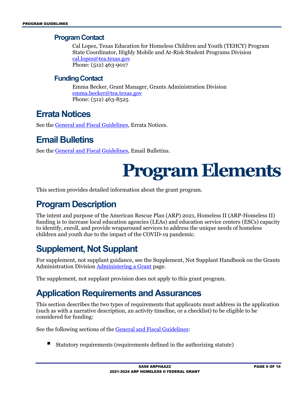#### <span id="page-8-0"></span>**Program Contact**

Cal Lopez, Texas Education for Homeless Children and Youth (TEHCY) Program State Coordinator, Highly Mobile and At-Risk Student Programs Division [cal.lopez@tea.texas.gov](mailto:cal.lopez@tea.texas.gov) Phone: (512) 463-9017

#### <span id="page-8-1"></span>**Funding Contact**

Emma Becker, Grant Manager, Grants Administration Division [emma.becker@tea.texas.gov](mailto:emma.becker@tea.texas.gov) Phone: (512) 463-8525

### <span id="page-8-2"></span>**Errata Notices**

See the [General and Fiscal Guidelines,](http://tea.texas.gov/WorkArea/linkit.aspx?LinkIdentifier=id&ItemID=25769819073) Errata Notices.

## <span id="page-8-3"></span>**Email Bulletins**

<span id="page-8-4"></span>See th[e General and Fiscal Guidelines,](http://tea.texas.gov/WorkArea/linkit.aspx?LinkIdentifier=id&ItemID=25769819073) Email Bulletins.

## **Program Elements**

This section provides detailed information about the grant program.

## <span id="page-8-5"></span>**Program Description**

The intent and purpose of the American Rescue Plan (ARP) 2021, Homeless II (ARP-Homeless II) funding is to increase local education agencies (LEAs) and education service centers (ESCs) capacity to identify, enroll, and provide wraparound services to address the unique needs of homeless children and youth due to the impact of the COVID-19 pandemic.

## <span id="page-8-6"></span>**Supplement, Not Supplant**

For supplement, not supplant guidance, see the Supplement, Not Supplant Handbook on the Grants Administration Division **[Administering a Grant](http://tea.texas.gov/Finance_and_Grants/Administering_a_Grant.aspx)** page.

The supplement, not supplant provision does not apply to this grant program.

### <span id="page-8-7"></span>**Application Requirements and Assurances**

This section describes the two types of requirements that applicants must address in the application (such as with a narrative description, an activity timeline, or a checklist) to be eligible to be considered for funding:

See the following sections of the [General and Fiscal Guidelines:](http://tea.texas.gov/WorkArea/linkit.aspx?LinkIdentifier=id&ItemID=25769819073)

Statutory requirements (requirements defined in the authorizing statute)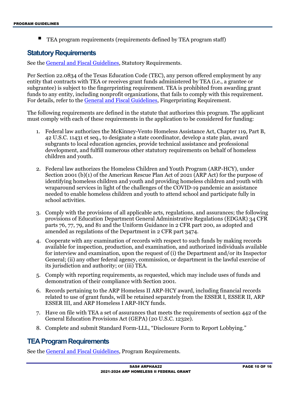TEA program requirements (requirements defined by TEA program staff)

#### <span id="page-9-0"></span>**Statutory Requirements**

See th[e General and Fiscal Guidelines,](http://tea.texas.gov/WorkArea/linkit.aspx?LinkIdentifier=id&ItemID=25769819073) Statutory Requirements.

Per Section 22.0834 of the Texas Education Code (TEC), any person offered employment by any entity that contracts with TEA or receives grant funds administered by TEA (i.e., a grantee or subgrantee) is subject to the fingerprinting requirement. TEA is prohibited from awarding grant funds to any entity, including nonprofit organizations, that fails to comply with this requirement. For details, refer to the [General and Fiscal Guidelines,](http://tea.texas.gov/WorkArea/linkit.aspx?LinkIdentifier=id&ItemID=25769819073) Fingerprinting Requirement.

The following requirements are defined in the statute that authorizes this program. The applicant must comply with each of these requirements in the application to be considered for funding:

- 1. Federal law authorizes the McKinney-Vento Homeless Assistance Act, Chapter 119, Part B, 42 U.S.C. 11431 et seq., to designate a state coordinator, develop a state plan, award subgrants to local education agencies, provide technical assistance and professional development, and fulfill numerous other statutory requirements on behalf of homeless children and youth.
- 2. Federal law authorizes the Homeless Children and Youth Program (ARP-HCY), under Section 2001 (b)(1) of the American Rescue Plan Act of 2021 (ARP Act) for the purpose of identifying homeless children and youth and providing homeless children and youth with wraparound services in light of the challenges of the COVID-19 pandemic an assistance needed to enable homeless children and youth to attend school and participate fully in school activities.
- 3. Comply with the provisions of all applicable acts, regulations, and assurances; the following provisions of Education Department General Administrative Regulations (EDGAR) 34 CFR parts 76, 77, 79, and 81 and the Uniform Guidance in 2 CFR part 200, as adopted and amended as regulations of the Department in 2 CFR part 3474.
- 4. Cooperate with any examination of records with respect to such funds by making records available for inspection, production, and examination, and authorized individuals available for interview and examination, upon the request of (i) the Department and/or its Inspector General; (ii) any other federal agency, commission, or department in the lawful exercise of its jurisdiction and authority; or (iii) TEA.
- 5. Comply with reporting requirements, as requested, which may include uses of funds and demonstration of their compliance with Section 2001.
- 6. Records pertaining to the ARP Homeless II ARP-HCY award, including financial records related to use of grant funds, will be retained separately from the ESSER I, ESSER II, ARP ESSER III, and ARP Homeless I ARP-HCY funds.
- 7. Have on file with TEA a set of assurances that meets the requirements of section 442 of the General Education Provisions Act (GEPA) (20 U.S.C. 1232e).
- 8. Complete and submit Standard Form-LLL, "Disclosure Form to Report Lobbying."

#### <span id="page-9-1"></span>**TEA Program Requirements**

See th[e General and Fiscal Guidelines,](http://tea.texas.gov/WorkArea/linkit.aspx?LinkIdentifier=id&ItemID=25769819073) Program Requirements.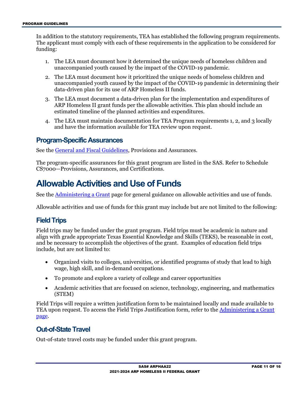In addition to the statutory requirements, TEA has established the following program requirements. The applicant must comply with each of these requirements in the application to be considered for funding:

- 1. The LEA must document how it determined the unique needs of homeless children and unaccompanied youth caused by the impact of the COVID-19 pandemic.
- 2. The LEA must document how it prioritized the unique needs of homeless children and unaccompanied youth caused by the impact of the COVID-19 pandemic in determining their data-driven plan for its use of ARP Homeless II funds.
- 3. The LEA must document a data-driven plan for the implementation and expenditures of ARP Homeless II grant funds per the allowable activities. This plan should include an estimated timeline of the planned activities and expenditures.
- 4. The LEA must maintain documentation for TEA Program requirements 1, 2, and 3 locally and have the information available for TEA review upon request.

#### <span id="page-10-0"></span>**Program-Specific Assurances**

See th[e General and Fiscal Guidelines,](http://tea.texas.gov/WorkArea/linkit.aspx?LinkIdentifier=id&ItemID=25769819073) Provisions and Assurances.

The program-specific assurances for this grant program are listed in the SAS. Refer to Schedule CS7000—Provisions, Assurances, and Certifications.

### <span id="page-10-1"></span>**Allowable Activities and Use of Funds**

See the [Administering a Grant](http://www.tea.texas.gov/WorkArea/linkit.aspx?LinkIdentifier=id&ItemID=25769814700) page for general guidance on allowable activities and use of funds.

Allowable activities and use of funds for this grant may include but are not limited to the following:

#### <span id="page-10-2"></span>**Field Trips**

Field trips may be funded under the grant program. Field trips must be academic in nature and align with grade appropriate Texas Essential Knowledge and Skills (TEKS), be reasonable in cost, and be necessary to accomplish the objectives of the grant. Examples of education field trips include, but are not limited to:

- Organized visits to colleges, universities, or identified programs of study that lead to high wage, high skill, and in-demand occupations.
- To promote and explore a variety of college and career opportunities
- Academic activities that are focused on science, technology, engineering, and mathematics (STEM)

Field Trips will require a written justification form to be maintained locally and made available to TEA upon request. To access the Field Trips Justification form, refer to the [Administering a Grant](http://tea.texas.gov/Finance_and_Grants/Administering_a_Grant.aspx)  [page.](http://tea.texas.gov/Finance_and_Grants/Administering_a_Grant.aspx)

#### <span id="page-10-3"></span>**Out-of-State Travel**

Out-of-state travel costs may be funded under this grant program.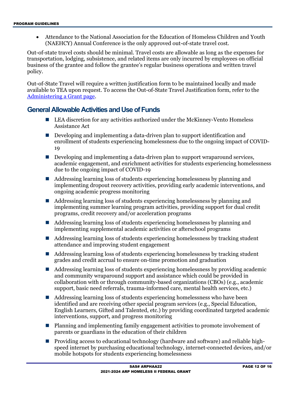• Attendance to the National Association for the Education of Homeless Children and Youth (NAEHCY) Annual Conference is the only approved out-of-state travel cost.

Out-of-state travel costs should be minimal. Travel costs are allowable as long as the expenses for transportation, lodging, subsistence, and related items are only incurred by employees on official business of the grantee and follow the grantee's regular business operations and written travel policy.

Out-of-State Travel will require a written justification form to be maintained locally and made available to TEA upon request. To access the Out-of-State Travel Justification form, refer to the [Administering a Grant page.](http://tea.texas.gov/Finance_and_Grants/Administering_a_Grant.aspx)

#### <span id="page-11-0"></span>**General Allowable Activities and Use of Funds**

- LEA discretion for any activities authorized under the McKinney-Vento Homeless Assistance Act
- Developing and implementing a data-driven plan to support identification and enrollment of students experiencing homelessness due to the ongoing impact of COVID-19
- Developing and implementing a data-driven plan to support wraparound services, academic engagement, and enrichment activities for students experiencing homelessness due to the ongoing impact of COVID-19
- Addressing learning loss of students experiencing homelessness by planning and implementing dropout recovery activities, providing early academic interventions, and ongoing academic progress monitoring
- Addressing learning loss of students experiencing homelessness by planning and implementing summer learning program activities, providing support for dual credit programs, credit recovery and/or acceleration programs
- Addressing learning loss of students experiencing homelessness by planning and implementing supplemental academic activities or afterschool programs
- Addressing learning loss of students experiencing homelessness by tracking student attendance and improving student engagement
- Addressing learning loss of students experiencing homelessness by tracking student grades and credit accrual to ensure on-time promotion and graduation
- Addressing learning loss of students experiencing homelessness by providing academic and community wraparound support and assistance which could be provided in collaboration with or through community-based organizations (CBOs) (e.g., academic support, basic need referrals, trauma-informed care, mental health services, etc.)
- Addressing learning loss of students experiencing homelessness who have been identified and are receiving other special program services (e.g., Special Education, English Learners, Gifted and Talented, etc.) by providing coordinated targeted academic interventions, support, and progress monitoring
- Planning and implementing family engagement activities to promote involvement of parents or guardians in the education of their children
- **Providing access to educational technology (hardware and software) and reliable high**speed internet by purchasing educational technology, internet-connected devices, and/or mobile hotspots for students experiencing homelessness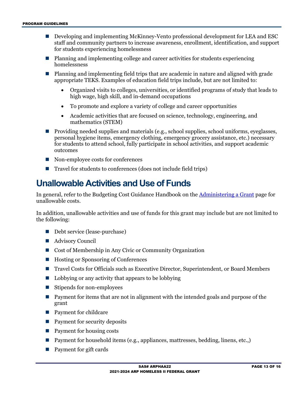- Developing and implementing McKinney-Vento professional development for LEA and ESC staff and community partners to increase awareness, enrollment, identification, and support for students experiencing homelessness
- Planning and implementing college and career activities for students experiencing homelessness
- Planning and implementing field trips that are academic in nature and aligned with grade appropriate TEKS. Examples of education field trips include, but are not limited to:
	- Organized visits to colleges, universities, or identified programs of study that leads to high wage, high skill, and in-demand occupations
	- To promote and explore a variety of college and career opportunities
	- Academic activities that are focused on science, technology, engineering, and mathematics (STEM)
- **Providing needed supplies and materials (e.g., school supplies, school uniforms, eyeglasses,** personal hygiene items, emergency clothing, emergency grocery assistance, etc.) necessary for students to attend school, fully participate in school activities, and support academic outcomes
- Non-employee costs for conferences
- Travel for students to conferences (does not include field trips)

### <span id="page-12-0"></span>**Unallowable Activities and Use of Funds**

In general, refer to the Budgeting Cost Guidance Handbook on the [Administering a Grant](http://www.tea.texas.gov/WorkArea/linkit.aspx?LinkIdentifier=id&ItemID=25769814700) page for unallowable costs.

In addition, unallowable activities and use of funds for this grant may include but are not limited to the following:

- Debt service (lease-purchase)
- Advisory Council
- Cost of Membership in Any Civic or Community Organization
- Hosting or Sponsoring of Conferences
- Travel Costs for Officials such as Executive Director, Superintendent, or Board Members
- $\blacksquare$  Lobbying or any activity that appears to be lobbying
- Stipends for non-employees
- **Payment for items that are not in alignment with the intended goals and purpose of the** grant
- **Payment for childcare**
- Payment for security deposits
- Payment for housing costs
- Payment for household items (e.g., appliances, mattresses, bedding, linens, etc.,)
- Payment for gift cards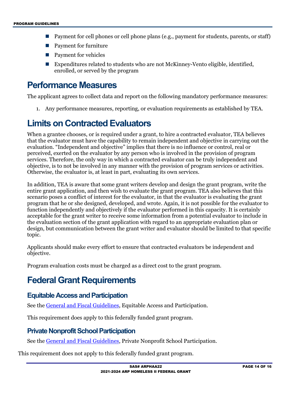- Payment for cell phones or cell phone plans (e.g., payment for students, parents, or staff)
- Payment for furniture
- **Payment for vehicles**
- Expenditures related to students who are not McKinney-Vento eligible, identified, enrolled, or served by the program

#### <span id="page-13-0"></span>**Performance Measures**

The applicant agrees to collect data and report on the following mandatory performance measures:

1. Any performance measures, reporting, or evaluation requirements as established by TEA.

## <span id="page-13-1"></span>**Limits on Contracted Evaluators**

When a grantee chooses, or is required under a grant, to hire a contracted evaluator, TEA believes that the evaluator must have the capability to remain independent and objective in carrying out the evaluation. "Independent and objective" implies that there is no influence or control, real or perceived, exerted on the evaluator by any person who is involved in the provision of program services. Therefore, the only way in which a contracted evaluator can be truly independent and objective, is to not be involved in any manner with the provision of program services or activities. Otherwise, the evaluator is, at least in part, evaluating its own services.

In addition, TEA is aware that some grant writers develop and design the grant program, write the entire grant application, and then wish to evaluate the grant program. TEA also believes that this scenario poses a conflict of interest for the evaluator, in that the evaluator is evaluating the grant program that he or she designed, developed, and wrote. Again, it is not possible for the evaluator to function independently and objectively if the evaluator performed in this capacity. It is certainly acceptable for the grant writer to receive some information from a potential evaluator to include in the evaluation section of the grant application with regard to an appropriate evaluation plan or design, but communication between the grant writer and evaluator should be limited to that specific topic.

Applicants should make every effort to ensure that contracted evaluators be independent and objective.

Program evaluation costs must be charged as a direct cost to the grant program.

## <span id="page-13-2"></span>**Federal Grant Requirements**

#### <span id="page-13-3"></span>**Equitable Access and Participation**

See th[e General and Fiscal Guidelines,](http://tea.texas.gov/WorkArea/linkit.aspx?LinkIdentifier=id&ItemID=25769819073) Equitable Access and Participation.

This requirement does apply to this federally funded grant program.

#### <span id="page-13-4"></span>**Private Nonprofit School Participation**

See th[e General and Fiscal Guidelines,](http://tea.texas.gov/WorkArea/linkit.aspx?LinkIdentifier=id&ItemID=25769819073) Private Nonprofit School Participation.

This requirement does not apply to this federally funded grant program.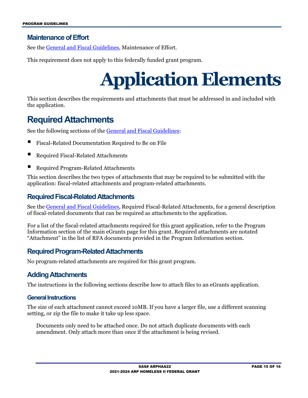#### <span id="page-14-0"></span>**Maintenance of Effort**

See th[e General and Fiscal Guidelines,](http://tea.texas.gov/WorkArea/linkit.aspx?LinkIdentifier=id&ItemID=25769819073) Maintenance of Effort.

<span id="page-14-1"></span>This requirement does not apply to this federally funded grant program.

## **Application Elements**

This section describes the requirements and attachments that must be addressed in and included with the application.

### <span id="page-14-2"></span>**Required Attachments**

See the following sections of the [General and Fiscal Guidelines:](http://tea.texas.gov/WorkArea/linkit.aspx?LinkIdentifier=id&ItemID=25769819073)

- Fiscal-Related Documentation Required to Be on File
- Required Fiscal-Related Attachments
- Required Program-Related Attachments

This section describes the two types of attachments that may be required to be submitted with the application: fiscal-related attachments and program-related attachments.

#### <span id="page-14-3"></span>**Required Fiscal-Related Attachments**

See th[e General and Fiscal Guidelines,](http://tea.texas.gov/WorkArea/linkit.aspx?LinkIdentifier=id&ItemID=25769819073) Required Fiscal-Related Attachments, for a general description of fiscal-related documents that can be required as attachments to the application.

For a list of the fiscal-related attachments required for this grant application, refer to the Program Information section of the main eGrants page for this grant. Required attachments are notated "Attachment" in the list of RFA documents provided in the Program Information section.

#### <span id="page-14-4"></span>**Required Program-Related Attachments**

No program-related attachments are required for this grant program.

#### <span id="page-14-5"></span>**Adding Attachments**

The instructions in the following sections describe how to attach files to an eGrants application.

#### **General Instructions**

The size of each attachment cannot exceed 10MB. If you have a larger file, use a different scanning setting, or zip the file to make it take up less space.

Documents only need to be attached once. Do not attach duplicate documents with each amendment. Only attach more than once if the attachment is being revised.